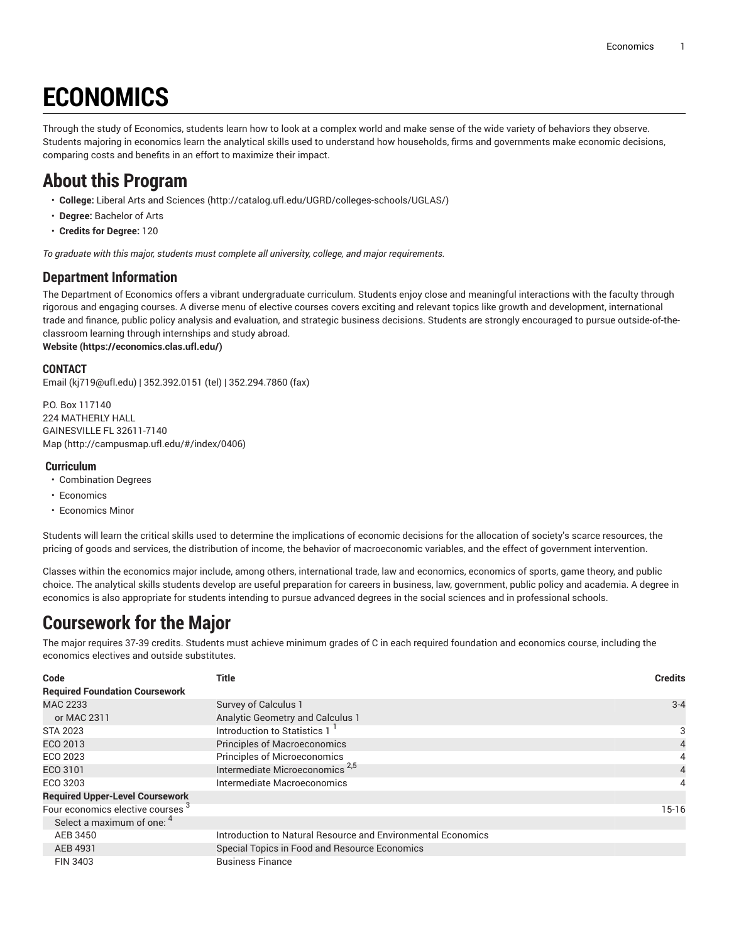# **ECONOMICS**

Through the study of Economics, students learn how to look at a complex world and make sense of the wide variety of behaviors they observe. Students majoring in economics learn the analytical skills used to understand how households, firms and governments make economic decisions, comparing costs and benefits in an effort to maximize their impact.

### **About this Program**

- **College:** Liberal Arts and [Sciences](http://catalog.ufl.edu/UGRD/colleges-schools/UGLAS/) ([http://catalog.ufl.edu/UGRD/colleges-schools/UGLAS/\)](http://catalog.ufl.edu/UGRD/colleges-schools/UGLAS/)
- **Degree:** Bachelor of Arts
- **Credits for Degree:** 120

*To graduate with this major, students must complete all university, college, and major requirements.*

#### **Department Information**

The Department of Economics offers a vibrant undergraduate curriculum. Students enjoy close and meaningful interactions with the faculty through rigorous and engaging courses. A diverse menu of elective courses covers exciting and relevant topics like growth and development, international trade and finance, public policy analysis and evaluation, and strategic business decisions. Students are strongly encouraged to pursue outside-of-theclassroom learning through internships and study abroad.

**[Website](https://economics.clas.ufl.edu/) (<https://economics.clas.ufl.edu/>)**

#### **CONTACT**

[Email](mailto:kj719@ufl.edu) (<kj719@ufl.edu>) | 352.392.0151 (tel) | 352.294.7860 (fax)

P.O. Box 117140 224 MATHERLY HALL GAINESVILLE FL 32611-7140 [Map](http://campusmap.ufl.edu/#/index/0406) ([http://campusmap.ufl.edu/#/index/0406\)](http://campusmap.ufl.edu/#/index/0406)

#### **Curriculum**

- Combination Degrees
- Economics
- Economics Minor

Students will learn the critical skills used to determine the implications of economic decisions for the allocation of society's scarce resources, the pricing of goods and services, the distribution of income, the behavior of macroeconomic variables, and the effect of government intervention.

Classes within the economics major include, among others, international trade, law and economics, economics of sports, game theory, and public choice. The analytical skills students develop are useful preparation for careers in business, law, government, public policy and academia. A degree in economics is also appropriate for students intending to pursue advanced degrees in the social sciences and in professional schools.

### **Coursework for the Major**

The major requires 37-39 credits. Students must achieve minimum grades of C in each required foundation and economics course, including the economics electives and outside substitutes.

| Code                                         | Title                                                        | <b>Credits</b> |
|----------------------------------------------|--------------------------------------------------------------|----------------|
| <b>Required Foundation Coursework</b>        |                                                              |                |
| MAC 2233                                     | Survey of Calculus 1                                         | $3 - 4$        |
| or MAC 2311                                  | Analytic Geometry and Calculus 1                             |                |
| <b>STA 2023</b>                              | Introduction to Statistics 1                                 |                |
| ECO 2013                                     | <b>Principles of Macroeconomics</b>                          | 4              |
| ECO 2023                                     | <b>Principles of Microeconomics</b>                          |                |
| ECO 3101                                     | Intermediate Microeconomics <sup>2,5</sup>                   |                |
| ECO 3203                                     | Intermediate Macroeconomics                                  |                |
| <b>Required Upper-Level Coursework</b>       |                                                              |                |
| Four economics elective courses <sup>3</sup> |                                                              | $15-16$        |
| Select a maximum of one: 4                   |                                                              |                |
| AEB 3450                                     | Introduction to Natural Resource and Environmental Economics |                |
| AEB 4931                                     | Special Topics in Food and Resource Economics                |                |
| FIN 3403                                     | <b>Business Finance</b>                                      |                |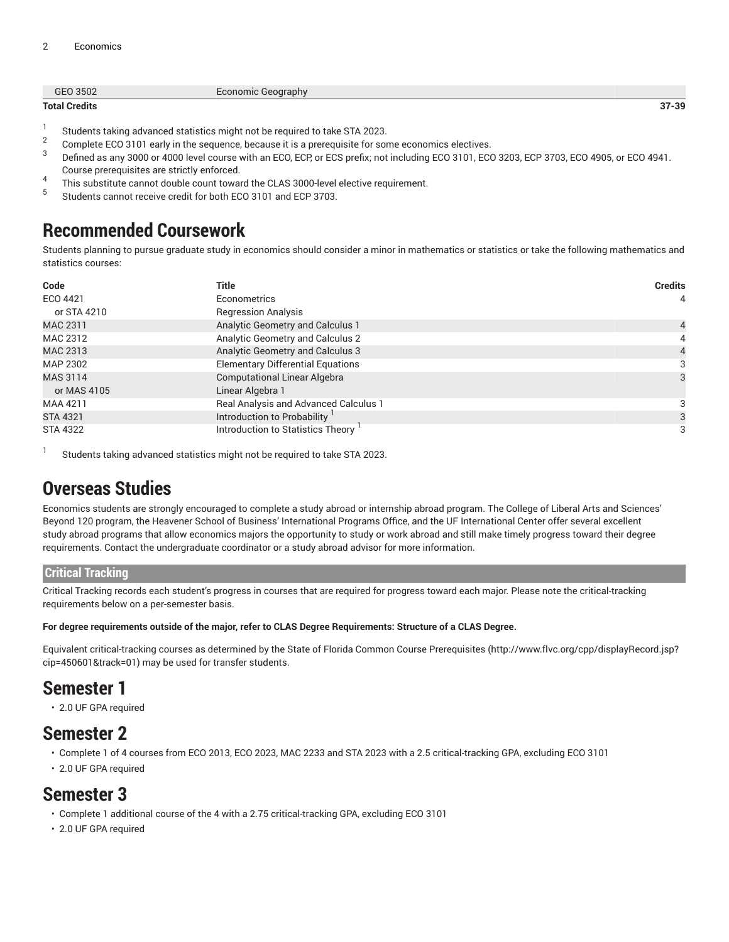| EO 3502              | Economic Geography |           |
|----------------------|--------------------|-----------|
| <b>Total Credits</b> |                    | $37 - 39$ |

- 1 Students taking advanced statistics might not be required to take STA 2023.
- $\overline{2}$ Complete ECO 3101 early in the sequence, because it is a prerequisite for some economics electives.
- 3 Defined as any 3000 or 4000 level course with an ECO, ECP, or ECS prefix; not including ECO 3101, ECO 3203, ECP 3703, ECO 4905, or ECO 4941. Course prerequisites are strictly enforced.
- 4 This substitute cannot double count toward the CLAS 3000-level elective requirement.
- 5 Students cannot receive credit for both ECO 3101 and ECP 3703.

### **Recommended Coursework**

Students planning to pursue graduate study in economics should consider a minor in mathematics or statistics or take the following mathematics and statistics courses:

| Code            | <b>Title</b>                             | <b>Credits</b> |
|-----------------|------------------------------------------|----------------|
| ECO 4421        | Econometrics                             | $\overline{4}$ |
| or STA 4210     | <b>Regression Analysis</b>               |                |
| MAC 2311        | Analytic Geometry and Calculus 1         | 4              |
| MAC 2312        | Analytic Geometry and Calculus 2         | 4              |
| MAC 2313        | Analytic Geometry and Calculus 3         |                |
| MAP 2302        | <b>Elementary Differential Equations</b> |                |
| MAS 3114        | <b>Computational Linear Algebra</b>      |                |
| or MAS 4105     | Linear Algebra 1                         |                |
| MAA 4211        | Real Analysis and Advanced Calculus 1    |                |
| <b>STA 4321</b> | Introduction to Probability              |                |
| <b>STA 4322</b> | Introduction to Statistics Theory        |                |

1 Students taking advanced statistics might not be required to take STA 2023.

### **Overseas Studies**

Economics students are strongly encouraged to complete a study abroad or internship abroad program. The College of Liberal Arts and Sciences' Beyond 120 program, the Heavener School of Business' International Programs Office, and the UF International Center offer several excellent study abroad programs that allow economics majors the opportunity to study or work abroad and still make timely progress toward their degree requirements. Contact the undergraduate coordinator or a study abroad advisor for more information.

#### **Critical Tracking**

Critical Tracking records each student's progress in courses that are required for progress toward each major. Please note the critical-tracking requirements below on a per-semester basis.

#### For degree requirements outside of the major, refer to CLAS Degree Requirements: Structure of a CLAS Degree.

Equivalent critical-tracking courses as determined by the State of Florida Common Course [Prerequisites](http://www.flvc.org/cpp/displayRecord.jsp?cip=450601&track=01) ([http://www.flvc.org/cpp/displayRecord.jsp?](http://www.flvc.org/cpp/displayRecord.jsp?cip=450601&track=01) [cip=450601&track=01\)](http://www.flvc.org/cpp/displayRecord.jsp?cip=450601&track=01) may be used for transfer students.

### **Semester 1**

• 2.0 UF GPA required

### **Semester 2**

- Complete 1 of 4 courses from ECO 2013, ECO 2023, MAC 2233 and STA 2023 with a 2.5 critical-tracking GPA, excluding ECO 3101
- 2.0 UF GPA required

### **Semester 3**

- Complete 1 additional course of the 4 with a 2.75 critical-tracking GPA, excluding ECO 3101
- 2.0 UF GPA required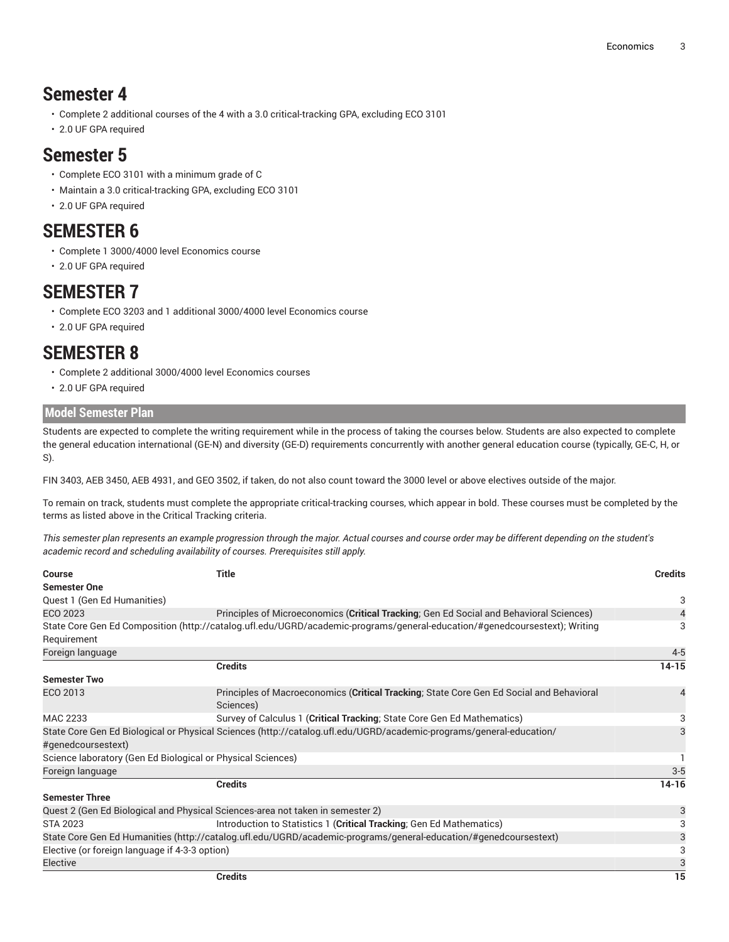### **Semester 4**

- Complete 2 additional courses of the 4 with a 3.0 critical-tracking GPA, excluding ECO 3101
- 2.0 UF GPA required

### **Semester 5**

- Complete ECO 3101 with a minimum grade of C
- Maintain a 3.0 critical-tracking GPA, excluding ECO 3101
- 2.0 UF GPA required

### **SEMESTER 6**

- Complete 1 3000/4000 level Economics course
- 2.0 UF GPA required

### **SEMESTER 7**

- Complete ECO 3203 and 1 additional 3000/4000 level Economics course
- 2.0 UF GPA required

### **SEMESTER 8**

- Complete 2 additional 3000/4000 level Economics courses
- 2.0 UF GPA required

#### **Model Semester Plan**

Students are expected to complete the writing requirement while in the process of taking the courses below. Students are also expected to complete the general education international (GE-N) and diversity (GE-D) requirements concurrently with another general education course (typically, GE-C, H, or S).

FIN 3403, AEB 3450, AEB 4931, and GEO 3502, if taken, do not also count toward the 3000 level or above electives outside of the major.

To remain on track, students must complete the appropriate critical-tracking courses, which appear in bold. These courses must be completed by the terms as listed above in the Critical Tracking criteria.

This semester plan represents an example progression through the major. Actual courses and course order may be different depending on the student's *academic record and scheduling availability of courses. Prerequisites still apply.*

| Course                                                      | <b>Title</b>                                                                                                               | <b>Credits</b> |  |  |
|-------------------------------------------------------------|----------------------------------------------------------------------------------------------------------------------------|----------------|--|--|
| <b>Semester One</b>                                         |                                                                                                                            |                |  |  |
| Quest 1 (Gen Ed Humanities)                                 |                                                                                                                            | 3              |  |  |
| ECO 2023                                                    | Principles of Microeconomics (Critical Tracking; Gen Ed Social and Behavioral Sciences)                                    |                |  |  |
|                                                             | State Core Gen Ed Composition (http://catalog.ufl.edu/UGRD/academic-programs/general-education/#genedcoursestext); Writing | 3              |  |  |
| Requirement                                                 |                                                                                                                            |                |  |  |
| Foreign language                                            |                                                                                                                            | $4 - 5$        |  |  |
|                                                             | <b>Credits</b>                                                                                                             | $14 - 15$      |  |  |
| <b>Semester Two</b>                                         |                                                                                                                            |                |  |  |
| ECO 2013                                                    | Principles of Macroeconomics (Critical Tracking; State Core Gen Ed Social and Behavioral                                   | 4              |  |  |
|                                                             | Sciences)                                                                                                                  |                |  |  |
| MAC 2233                                                    | Survey of Calculus 1 (Critical Tracking; State Core Gen Ed Mathematics)                                                    |                |  |  |
|                                                             | State Core Gen Ed Biological or Physical Sciences (http://catalog.ufl.edu/UGRD/academic-programs/general-education/        |                |  |  |
| #genedcoursestext)                                          |                                                                                                                            |                |  |  |
| Science laboratory (Gen Ed Biological or Physical Sciences) |                                                                                                                            |                |  |  |
| Foreign language                                            |                                                                                                                            | $3-5$          |  |  |
|                                                             | <b>Credits</b>                                                                                                             | $14 - 16$      |  |  |
| <b>Semester Three</b>                                       |                                                                                                                            |                |  |  |
|                                                             | Quest 2 (Gen Ed Biological and Physical Sciences-area not taken in semester 2)                                             | 3              |  |  |
| STA 2023                                                    | Introduction to Statistics 1 (Critical Tracking; Gen Ed Mathematics)                                                       |                |  |  |
|                                                             | State Core Gen Ed Humanities (http://catalog.ufl.edu/UGRD/academic-programs/general-education/#genedcoursestext)           | 3              |  |  |
| Elective (or foreign language if 4-3-3 option)              |                                                                                                                            | 3              |  |  |
| Elective                                                    |                                                                                                                            |                |  |  |
|                                                             | <b>Credits</b>                                                                                                             | 15             |  |  |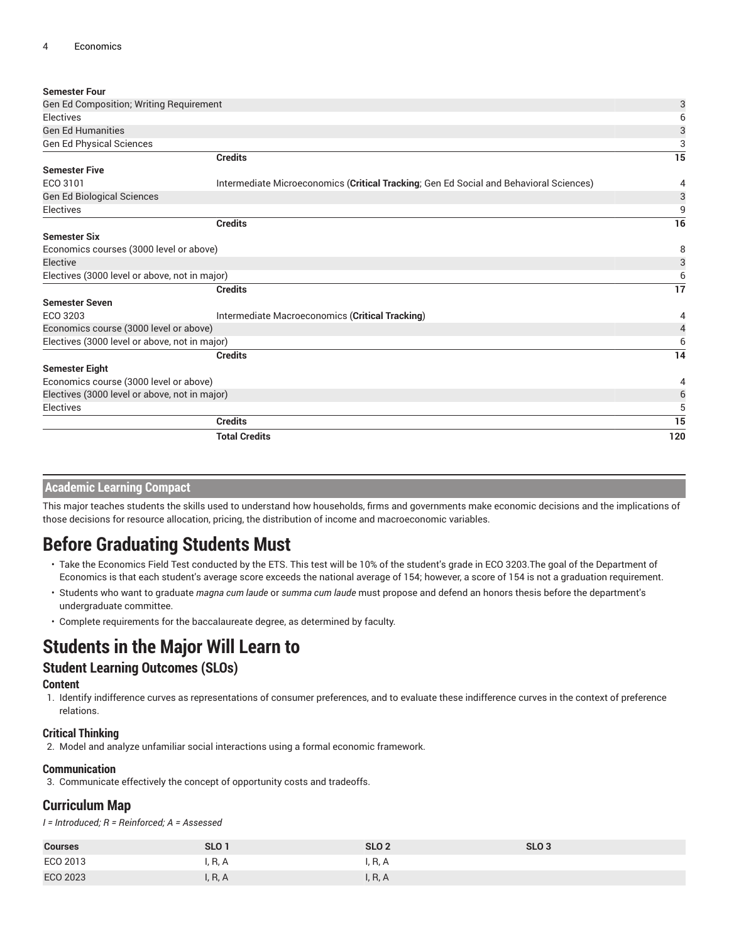|                                               | <b>Total Credits</b>                                                                   | 120          |
|-----------------------------------------------|----------------------------------------------------------------------------------------|--------------|
|                                               | <b>Credits</b>                                                                         | 15           |
| <b>Electives</b>                              |                                                                                        | 5            |
| Electives (3000 level or above, not in major) |                                                                                        | 6            |
| Economics course (3000 level or above)        |                                                                                        | 4            |
| <b>Semester Eight</b>                         |                                                                                        |              |
|                                               | <b>Credits</b>                                                                         | 14           |
| Electives (3000 level or above, not in major) |                                                                                        | 6            |
| Economics course (3000 level or above)        |                                                                                        | 4            |
| ECO 3203                                      | Intermediate Macroeconomics (Critical Tracking)                                        | 4            |
| <b>Semester Seven</b>                         | <b>Credits</b>                                                                         | 17           |
| Electives (3000 level or above, not in major) |                                                                                        | 6            |
| Elective                                      |                                                                                        | 3            |
| Economics courses (3000 level or above)       |                                                                                        | 8            |
| <b>Semester Six</b>                           |                                                                                        |              |
|                                               | <b>Credits</b>                                                                         | 16           |
| Electives                                     |                                                                                        | 9            |
| <b>Gen Ed Biological Sciences</b>             |                                                                                        | $\mathbf{3}$ |
| ECO 3101                                      | Intermediate Microeconomics (Critical Tracking; Gen Ed Social and Behavioral Sciences) | 4            |
| <b>Semester Five</b>                          | <b>Credits</b>                                                                         | 15           |
| <b>Gen Ed Physical Sciences</b>               |                                                                                        | 3            |
| <b>Gen Ed Humanities</b>                      |                                                                                        | 3            |
| <b>Electives</b>                              |                                                                                        | 6            |
| Gen Ed Composition; Writing Requirement       |                                                                                        | 3            |
| <b>Semester Four</b>                          |                                                                                        |              |

#### **Academic Learning Compact**

This major teaches students the skills used to understand how households, firms and governments make economic decisions and the implications of those decisions for resource allocation, pricing, the distribution of income and macroeconomic variables.

### **Before Graduating Students Must**

- Take the Economics Field Test conducted by the ETS. This test will be 10% of the student's grade in ECO 3203.The goal of the Department of Economics is that each student's average score exceeds the national average of 154; however, a score of 154 is not a graduation requirement.
- Students who want to graduate *magna cum laude* or *summa cum laude* must propose and defend an honors thesis before the department's undergraduate committee.
- Complete requirements for the baccalaureate degree, as determined by faculty.

### **Students in the Major Will Learn to**

#### **Student Learning Outcomes (SLOs)**

#### **Content**

1. Identify indifference curves as representations of consumer preferences, and to evaluate these indifference curves in the context of preference relations.

#### **Critical Thinking**

2. Model and analyze unfamiliar social interactions using a formal economic framework.

#### **Communication**

3. Communicate effectively the concept of opportunity costs and tradeoffs.

#### **Curriculum Map**

*I = Introduced; R = Reinforced; A = Assessed*

| <b>Courses</b> | SLO <sub>1</sub> | SLO <sub>2</sub> | <b>SLO 3</b> |
|----------------|------------------|------------------|--------------|
| ECO 2013       | , R, A           | . R, A           |              |
| ECO 2023       | , R, A           | I, R, A          |              |